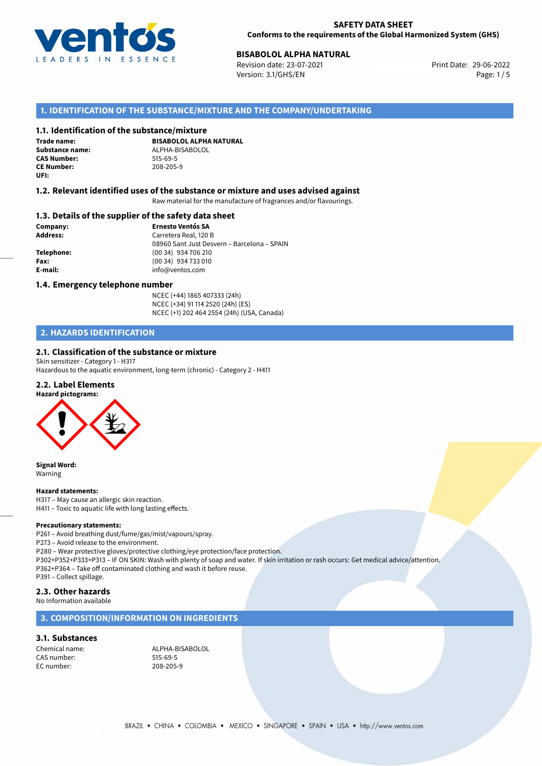

## **BISABOLOL ALPHA NATURAL**<br>
Revision date: 23-07-2021<br> **Print Date: 29-06-2022**

Revision date: 23-07-2021 Version: 3.1/GHS/EN Page: 1 / 5

### **1. IDENTIFICATION OF THE SUBSTANCE/MIXTURE AND THE COMPANY/UNDERTAKING**

#### **1.1. Identification of the substance/mixture**

**Trade name: CAS Number: CE Number:** 208-205-9 **UFI:**

**BISABOLOL ALPHA NATURAL Substance name:** ALPHA-BISABOLOL

#### **1.2. Relevant identified uses of the substance or mixture and uses advised against**

Raw material for the manufacture of fragrances and/or flavourings.

#### **1.3. Details of the supplier of the safety data sheet**

**Company: Ernesto Ventós SA Address:** Carretera Real, 120 B 08960 Sant Just Desvern – Barcelona – SPAIN **Telephone:** (00 34) 934 706 210 **Fax:** (00 34) 934 733 010 **E-mail:** info@ventos.com

#### **1.4. Emergency telephone number**

NCEC (+44) 1865 407333 (24h) NCEC (+34) 91 114 2520 (24h) (ES) NCEC (+1) 202 464 2554 (24h) (USA, Canada)

## **2. HAZARDS IDENTIFICATION**

## **2.1. Classification of the substance or mixture**

Skin sensitizer - Category 1 - H317 Hazardous to the aquatic environment, long-term (chronic) - Category 2 - H411

#### **2.2. Label Elements**





**Signal Word:** Warning

#### **Hazard statements:**

H317 – May cause an allergic skin reaction. H411 – Toxic to aquatic life with long lasting effects.

#### **Precautionary statements:**

P261 – Avoid breathing dust/fume/gas/mist/vapours/spray.

P273 – Avoid release to the environment.

P280 – Wear protective gloves/protective clothing/eye protection/face protection. P302+P352+P333+P313 – IF ON SKIN: Wash with plenty of soap and water. If skin irritation or rash occurs: Get medical advice/attention. P362+P364 – Take off contaminated clothing and wash it before reuse. P391 – Collect spillage.

#### **2.3. Other hazards**

No Information available

#### **3. COMPOSITION/INFORMATION ON INGREDIENTS**

#### **3.1. Substances**

Chemical name: ALPHA-BISABOLOL CAS number: 515-69-5<br>EC number: 208-205-9 EC number: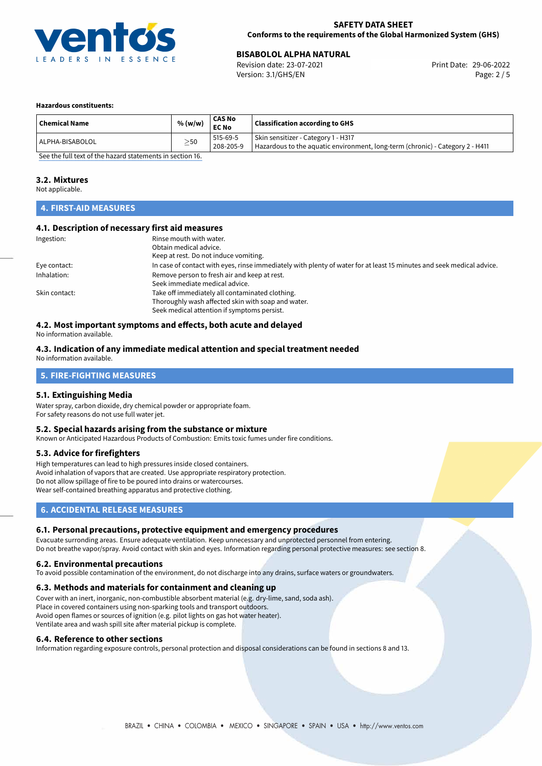

## **BISABOLOL ALPHA NATURAL**<br> **29-06-2022 Revision date: 23-07-2021 BISABOLOGIC PROPERTY PROPERTY Print Date: 29-06-2022**

Revision date: 23-07-2021 Version: 3.1/GHS/EN Page: 2 / 5

#### **Hazardous constituents:**

| <b>Chemical Name</b>                                                         | % (w/w)   | CAS No<br><b>EC No</b> | <b>Classification according to GHS</b>                                                                                       |  |
|------------------------------------------------------------------------------|-----------|------------------------|------------------------------------------------------------------------------------------------------------------------------|--|
| ALPHA-BISABOLOL                                                              | $\geq$ 50 | 515-69-5<br>208-205-9  | Skin sensitizer - Category 1 - H317<br>$\vert$ Hazardous to the aquatic environment, long-term (chronic) - Category 2 - H411 |  |
| $\sigma$ and the full term of the leadership term and a function of $\sigma$ |           |                        |                                                                                                                              |  |

[See the full text of the hazard statements in section 16.](#page-4-0)

#### **3.2. Mixtures**

Not applicable.

## **4. FIRST-AID MEASURES**

#### **4.1. Description of necessary first aid measures**

| Ingestion:    | Rinse mouth with water.<br>Obtain medical advice.<br>Keep at rest. Do not induce vomiting.                                                           |
|---------------|------------------------------------------------------------------------------------------------------------------------------------------------------|
| Eye contact:  | In case of contact with eyes, rinse immediately with plenty of water for at least 15 minutes and seek medical advice.                                |
| Inhalation:   | Remove person to fresh air and keep at rest.<br>Seek immediate medical advice.                                                                       |
| Skin contact: | Take off immediately all contaminated clothing.<br>Thoroughly wash affected skin with soap and water.<br>Seek medical attention if symptoms persist. |

## **4.2. Most important symptoms and effects, both acute and delayed**

No information available.

#### **4.3. Indication of any immediate medical attention and special treatment needed** No information available.

## **5. FIRE-FIGHTING MEASURES**

#### **5.1. Extinguishing Media**

Water spray, carbon dioxide, dry chemical powder or appropriate foam. For safety reasons do not use full water jet.

#### **5.2. Special hazards arising from the substance or mixture**

Known or Anticipated Hazardous Products of Combustion: Emits toxic fumes under fire conditions.

#### **5.3. Advice for firefighters**

High temperatures can lead to high pressures inside closed containers. Avoid inhalation of vapors that are created. Use appropriate respiratory protection. Do not allow spillage of fire to be poured into drains or watercourses. Wear self-contained breathing apparatus and protective clothing.

#### **6. ACCIDENTAL RELEASE MEASURES**

#### **6.1. Personal precautions, protective equipment and emergency procedures**

Evacuate surronding areas. Ensure adequate ventilation. Keep unnecessary and unprotected personnel from entering. Do not breathe vapor/spray. Avoid contact with skin and eyes. Information regarding personal protective measures: see section 8.

#### **6.2. Environmental precautions**

To avoid possible contamination of the environment, do not discharge into any drains, surface waters or groundwaters.

#### **6.3. Methods and materials for containment and cleaning up**

Cover with an inert, inorganic, non-combustible absorbent material (e.g. dry-lime, sand, soda ash). Place in covered containers using non-sparking tools and transport outdoors. Avoid open flames or sources of ignition (e.g. pilot lights on gas hot water heater). Ventilate area and wash spill site after material pickup is complete.

#### **6.4. Reference to other sections**

Information regarding exposure controls, personal protection and disposal considerations can be found in sections 8 and 13.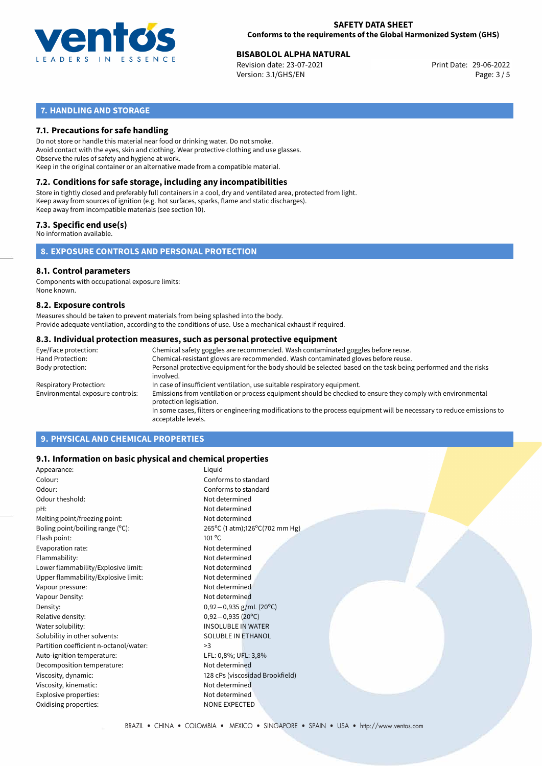

#### **SAFETY DATA SHEET Conforms to the requirements of the Global Harmonized System (GHS)**

## **BISABOLOL ALPHA NATURAL**<br>
Revision date: 23-07-2021<br> **Print Date: 29-06-2022**

Revision date: 23-07-2021 Version: 3.1/GHS/EN Page: 3 / 5

## **7. HANDLING AND STORAGE**

#### **7.1. Precautions for safe handling**

Do not store or handle this material near food or drinking water. Do not smoke. Avoid contact with the eyes, skin and clothing. Wear protective clothing and use glasses. Observe the rules of safety and hygiene at work. Keep in the original container or an alternative made from a compatible material.

## **7.2. Conditions for safe storage, including any incompatibilities**

Store in tightly closed and preferably full containers in a cool, dry and ventilated area, protected from light. Keep away from sources of ignition (e.g. hot surfaces, sparks, flame and static discharges). Keep away from incompatible materials (see section 10).

#### **7.3. Specific end use(s)**

No information available.

**8. EXPOSURE CONTROLS AND PERSONAL PROTECTION**

#### **8.1. Control parameters**

Components with occupational exposure limits: None known.

#### **8.2. Exposure controls**

Measures should be taken to prevent materials from being splashed into the body. Provide adequate ventilation, according to the conditions of use. Use a mechanical exhaust if required.

#### **8.3. Individual protection measures, such as personal protective equipment**

| Eye/Face protection:             | Chemical safety goggles are recommended. Wash contaminated goggles before reuse.                                                            |  |  |  |  |
|----------------------------------|---------------------------------------------------------------------------------------------------------------------------------------------|--|--|--|--|
| Hand Protection:                 | Chemical-resistant gloves are recommended. Wash contaminated gloves before reuse.                                                           |  |  |  |  |
| Body protection:                 | Personal protective equipment for the body should be selected based on the task being performed and the risks<br>involved.                  |  |  |  |  |
| Respiratory Protection:          | In case of insufficient ventilation, use suitable respiratory equipment.                                                                    |  |  |  |  |
| Environmental exposure controls: | Emissions from ventilation or process equipment should be checked to ensure they comply with environmental<br>protection legislation.       |  |  |  |  |
|                                  | In some cases, filters or engineering modifications to the process equipment will be necessary to reduce emissions to<br>acceptable levels. |  |  |  |  |
|                                  |                                                                                                                                             |  |  |  |  |

## **9. PHYSICAL AND CHEMICAL PROPERTIES**

#### **9.1. Information on basic physical and chemical properties**

| Appearance:                            | Liquid                          |
|----------------------------------------|---------------------------------|
| Colour:                                | Conforms to standard            |
| Odour:                                 | Conforms to standard            |
| Odour theshold:                        | Not determined                  |
| pH:                                    | Not determined                  |
| Melting point/freezing point:          | Not determined                  |
| Boling point/boiling range $(°C)$ :    | 265°C (1 atm);126°C(702 mm Hg)  |
| Flash point:                           | $101^{\circ}$ C                 |
| Evaporation rate:                      | Not determined                  |
| Flammability:                          | Not determined                  |
| Lower flammability/Explosive limit:    | Not determined                  |
| Upper flammability/Explosive limit:    | Not determined                  |
| Vapour pressure:                       | Not determined                  |
| Vapour Density:                        | Not determined                  |
| Density:                               | $0,92-0,935$ g/mL (20°C)        |
| Relative density:                      | $0,92-0,935(20^{\circ}C)$       |
| Water solubility:                      | <b>INSOLUBLE IN WATER</b>       |
| Solubility in other solvents:          | <b>SOLUBLE IN ETHANOL</b>       |
| Partition coefficient n-octanol/water: | >3                              |
| Auto-ignition temperature:             | LFL: 0,8%; UFL: 3,8%            |
| Decomposition temperature:             | Not determined                  |
| Viscosity, dynamic:                    | 128 cPs (viscosidad Brookfield) |
| Viscosity, kinematic:                  | Not determined                  |
| Explosive properties:                  | Not determined                  |
| Oxidising properties:                  | <b>NONE EXPECTED</b>            |
|                                        |                                 |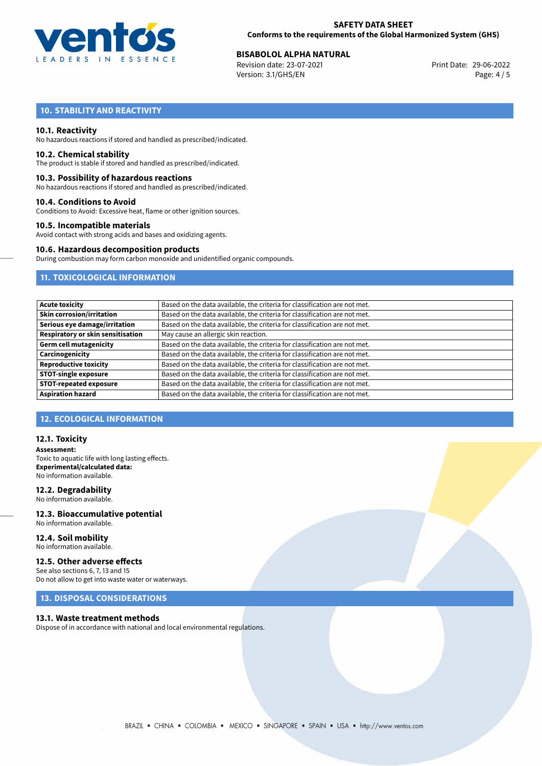

# **BISABOLOL ALPHA NATURAL**<br> **29-06-2022 Biography Biography Brit Date:** 29-06-2022 **Brit Date:** 29-06-2022

Revision date: 23-07-2021 Version: 3.1/GHS/EN Page: 4 / 5

## **10. STABILITY AND REACTIVITY**

#### **10.1. Reactivity**

No hazardous reactions if stored and handled as prescribed/indicated.

#### **10.2. Chemical stability**

The product is stable if stored and handled as prescribed/indicated.

#### **10.3. Possibility of hazardous reactions**

No hazardous reactions if stored and handled as prescribed/indicated.

#### **10.4. Conditions to Avoid**

Conditions to Avoid: Excessive heat, flame or other ignition sources.

#### **10.5. Incompatible materials**

Avoid contact with strong acids and bases and oxidizing agents.

#### **10.6. Hazardous decomposition products**

During combustion may form carbon monoxide and unidentified organic compounds.

### **11. TOXICOLOGICAL INFORMATION**

| Based on the data available, the criteria for classification are not met. |
|---------------------------------------------------------------------------|
| Based on the data available, the criteria for classification are not met. |
| Based on the data available, the criteria for classification are not met. |
| May cause an allergic skin reaction.                                      |
| Based on the data available, the criteria for classification are not met. |
| Based on the data available, the criteria for classification are not met. |
| Based on the data available, the criteria for classification are not met. |
| Based on the data available, the criteria for classification are not met. |
| Based on the data available, the criteria for classification are not met. |
| Based on the data available, the criteria for classification are not met. |
|                                                                           |

## **12. ECOLOGICAL INFORMATION**

#### **12.1. Toxicity**

**Assessment:** Toxic to aquatic life with long lasting effects. **Experimental/calculated data:** No information available.

#### **12.2. Degradability**

No information available.

#### **12.3. Bioaccumulative potential** No information available.

**12.4. Soil mobility** No information available.

#### **12.5. Other adverse effects**

See also sections 6, 7, 13 and 15 Do not allow to get into waste water or waterways.

### **13. DISPOSAL CONSIDERATIONS**

#### **13.1. Waste treatment methods**

Dispose of in accordance with national and local environmental regulations.